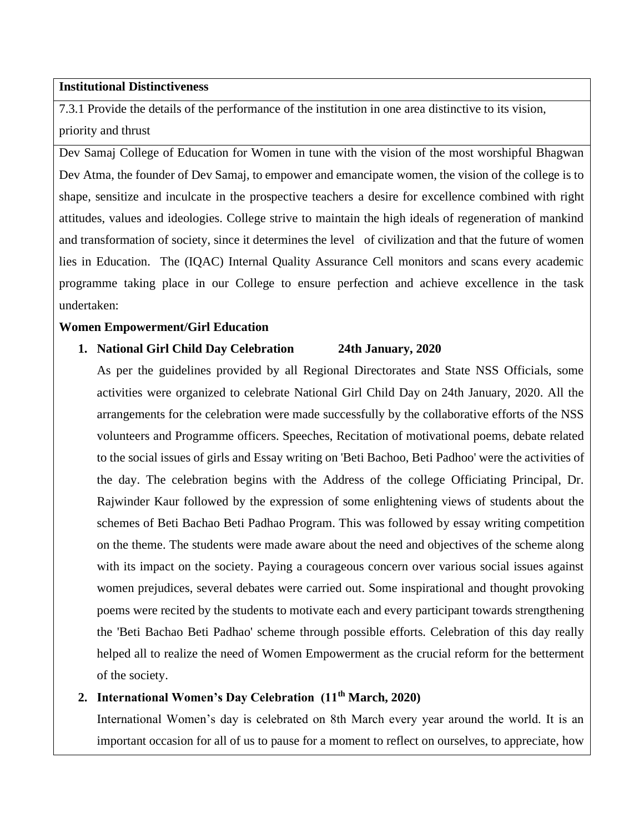## **Institutional Distinctiveness**

7.3.1 Provide the details of the performance of the institution in one area distinctive to its vision, priority and thrust

Dev Samaj College of Education for Women in tune with the vision of the most worshipful Bhagwan Dev Atma, the founder of Dev Samaj, to empower and emancipate women, the vision of the college is to shape, sensitize and inculcate in the prospective teachers a desire for excellence combined with right attitudes, values and ideologies. College strive to maintain the high ideals of regeneration of mankind and transformation of society, since it determines the level of civilization and that the future of women lies in Education. The (IQAC) Internal Quality Assurance Cell monitors and scans every academic programme taking place in our College to ensure perfection and achieve excellence in the task undertaken:

### **Women Empowerment/Girl Education**

#### **1. National Girl Child Day Celebration 24th January, 2020**

As per the guidelines provided by all Regional Directorates and State NSS Officials, some activities were organized to celebrate National Girl Child Day on 24th January, 2020. All the arrangements for the celebration were made successfully by the collaborative efforts of the NSS volunteers and Programme officers. Speeches, Recitation of motivational poems, debate related to the social issues of girls and Essay writing on 'Beti Bachoo, Beti Padhoo' were the activities of the day. The celebration begins with the Address of the college Officiating Principal, Dr. Rajwinder Kaur followed by the expression of some enlightening views of students about the schemes of Beti Bachao Beti Padhao Program. This was followed by essay writing competition on the theme. The students were made aware about the need and objectives of the scheme along with its impact on the society. Paying a courageous concern over various social issues against women prejudices, several debates were carried out. Some inspirational and thought provoking poems were recited by the students to motivate each and every participant towards strengthening the 'Beti Bachao Beti Padhao' scheme through possible efforts. Celebration of this day really helped all to realize the need of Women Empowerment as the crucial reform for the betterment of the society.

# **2. International Women's Day Celebration (11th March, 2020)**

International Women's day is celebrated on 8th March every year around the world. It is an important occasion for all of us to pause for a moment to reflect on ourselves, to appreciate, how